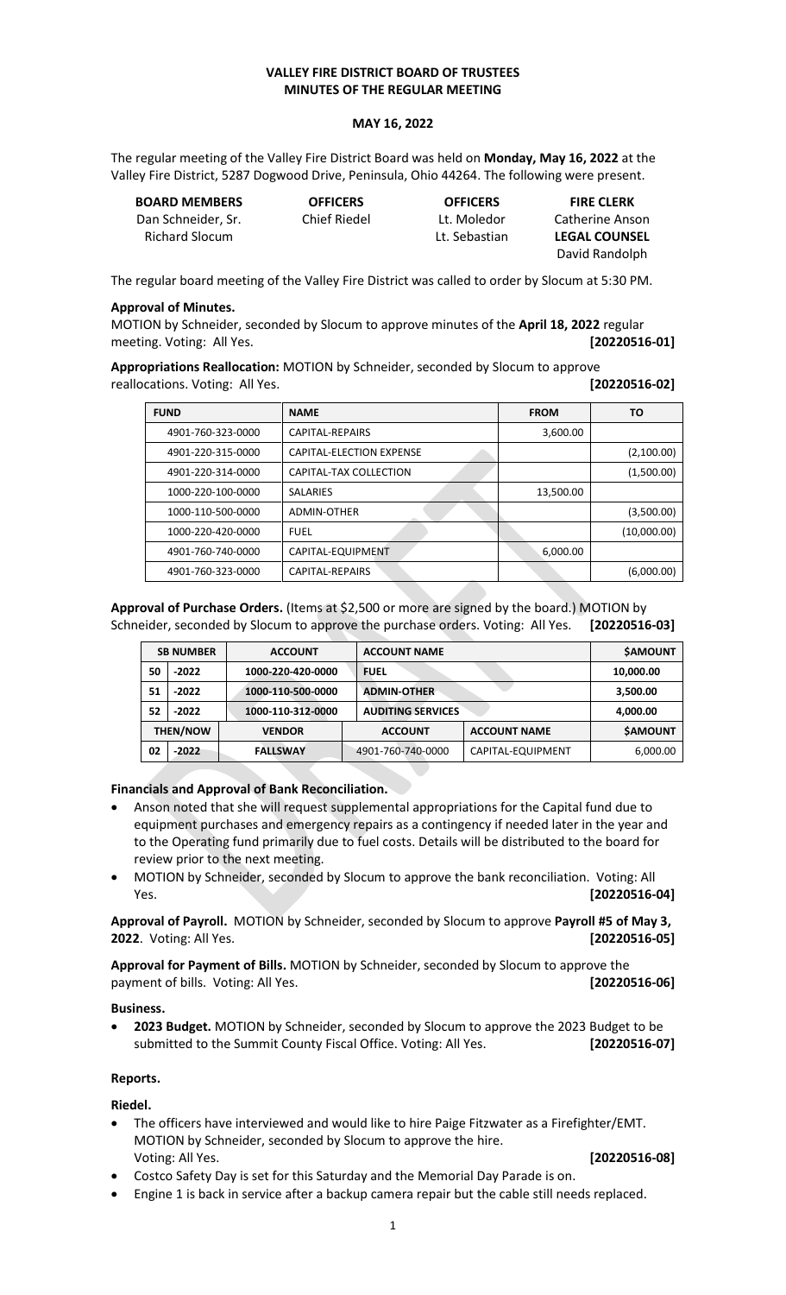## **VALLEY FIRE DISTRICT BOARD OF TRUSTEES MINUTES OF THE REGULAR MEETING**

### **MAY 16, 2022**

The regular meeting of the Valley Fire District Board was held on **Monday, May 16, 2022** at the Valley Fire District, 5287 Dogwood Drive, Peninsula, Ohio 44264. The following were present.

| <b>BOARD MEMBERS</b> | <b>OFFICERS</b> | <b>OFFICERS</b> | <b>FIRE CLERK</b>    |
|----------------------|-----------------|-----------------|----------------------|
| Dan Schneider. Sr.   | Chief Riedel    | Lt. Moledor     | Catherine Anson      |
| Richard Slocum       |                 | Lt. Sebastian   | <b>LEGAL COUNSEL</b> |
|                      |                 |                 | David Randolph       |

The regular board meeting of the Valley Fire District was called to order by Slocum at 5:30 PM.

#### **Approval of Minutes.**

MOTION by Schneider, seconded by Slocum to approve minutes of the **April 18, 2022** regular meeting. Voting: All Yes. **[20220516-01]**

**Appropriations Reallocation:** MOTION by Schneider, seconded by Slocum to approve reallocations. Voting: All Yes. **[20220516-02]**

| <b>FUND</b><br><b>NAME</b> |                          | <b>FROM</b> | ΤО          |
|----------------------------|--------------------------|-------------|-------------|
| 4901-760-323-0000          | CAPITAL-REPAIRS          | 3,600.00    |             |
| 4901-220-315-0000          | CAPITAL-ELECTION EXPENSE |             | (2,100.00)  |
| 4901-220-314-0000          | CAPITAL-TAX COLLECTION   |             | (1,500.00)  |
| 1000-220-100-0000          | <b>SALARIES</b>          | 13,500.00   |             |
| 1000-110-500-0000          | <b>ADMIN-OTHER</b>       |             | (3,500.00)  |
| 1000-220-420-0000          | <b>FUEL</b>              |             | (10,000.00) |
| 4901-760-740-0000          | CAPITAL-EQUIPMENT        | 6,000.00    |             |
| 4901-760-323-0000          | CAPITAL-REPAIRS          |             | (6,000.00)  |

**Approval of Purchase Orders.** (Items at \$2,500 or more are signed by the board.) MOTION by Schneider, seconded by Slocum to approve the purchase orders. Voting: All Yes. **[20220516-03]**

|    | <b>SB NUMBER</b> | <b>ACCOUNT</b>    | <b>ACCOUNT NAME</b>      |                     | <b>\$AMOUNT</b> |
|----|------------------|-------------------|--------------------------|---------------------|-----------------|
| 50 | $-2022$          | 1000-220-420-0000 | <b>FUEL</b>              |                     | 10,000.00       |
| 51 | $-2022$          | 1000-110-500-0000 | <b>ADMIN-OTHER</b>       |                     | 3,500.00        |
| 52 | $-2022$          | 1000-110-312-0000 | <b>AUDITING SERVICES</b> |                     | 4,000.00        |
|    | <b>THEN/NOW</b>  | <b>VENDOR</b>     | <b>ACCOUNT</b>           | <b>ACCOUNT NAME</b> | <b>\$AMOUNT</b> |
| 02 | $-2022$          | <b>FALLSWAY</b>   | 4901-760-740-0000        | CAPITAL-EQUIPMENT   | 6,000.00        |
|    |                  |                   |                          |                     |                 |

### **Financials and Approval of Bank Reconciliation.**

- Anson noted that she will request supplemental appropriations for the Capital fund due to equipment purchases and emergency repairs as a contingency if needed later in the year and to the Operating fund primarily due to fuel costs. Details will be distributed to the board for review prior to the next meeting.
- MOTION by Schneider, seconded by Slocum to approve the bank reconciliation. Voting: All Yes. **[20220516-04]**

**Approval of Payroll.** MOTION by Schneider, seconded by Slocum to approve **Payroll #5 of May 3, 2022**. Voting: All Yes. **[20220516-05]**

**Approval for Payment of Bills.** MOTION by Schneider, seconded by Slocum to approve the payment of bills. Voting: All Yes. **[20220516-06]**

#### **Business.**

• **2023 Budget.** MOTION by Schneider, seconded by Slocum to approve the 2023 Budget to be submitted to the Summit County Fiscal Office. Voting: All Yes. **[20220516-07]**

### **Reports.**

**Riedel.** 

• The officers have interviewed and would like to hire Paige Fitzwater as a Firefighter/EMT. MOTION by Schneider, seconded by Slocum to approve the hire. Voting: All Yes. **[20220516-08]**

- Costco Safety Day is set for this Saturday and the Memorial Day Parade is on.
- Engine 1 is back in service after a backup camera repair but the cable still needs replaced.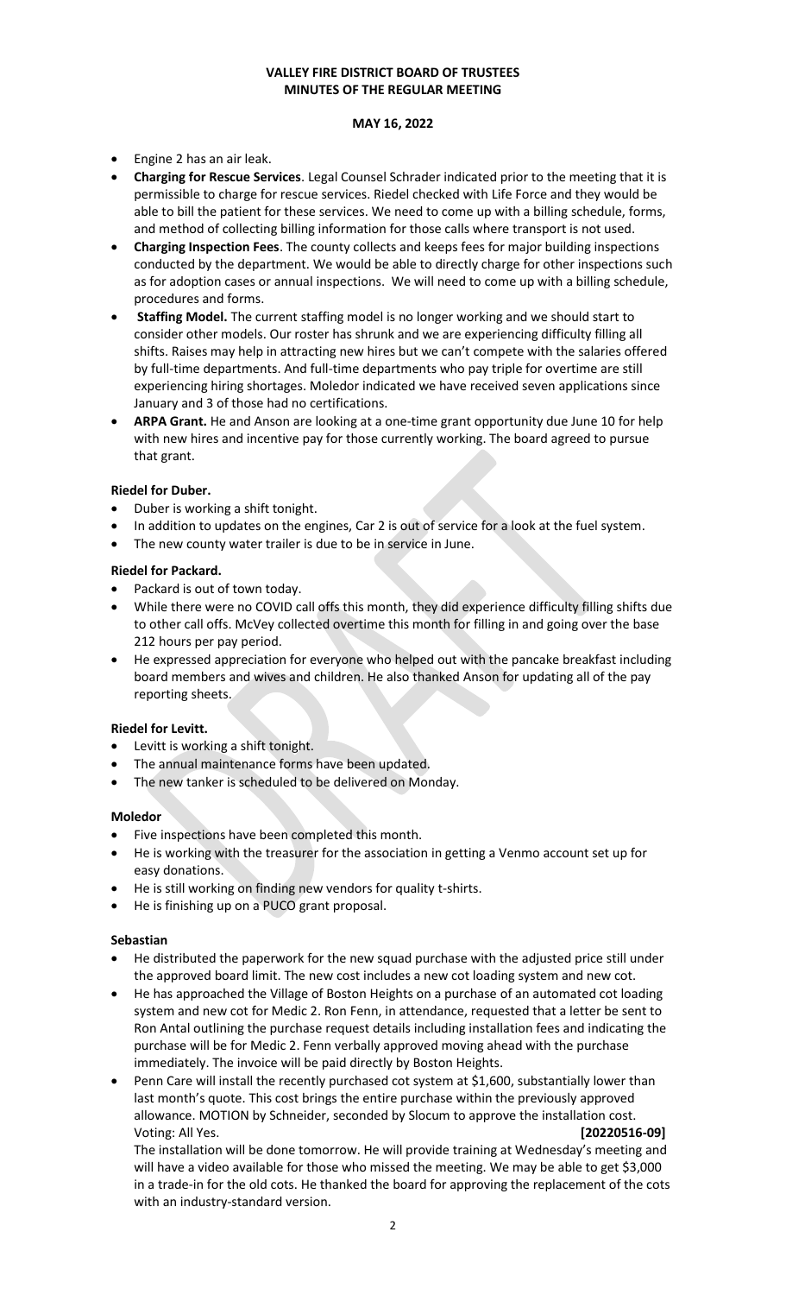# **VALLEY FIRE DISTRICT BOARD OF TRUSTEES MINUTES OF THE REGULAR MEETING**

### **MAY 16, 2022**

- Engine 2 has an air leak.
- **Charging for Rescue Services**. Legal Counsel Schrader indicated prior to the meeting that it is permissible to charge for rescue services. Riedel checked with Life Force and they would be able to bill the patient for these services. We need to come up with a billing schedule, forms, and method of collecting billing information for those calls where transport is not used.
- **Charging Inspection Fees**. The county collects and keeps fees for major building inspections conducted by the department. We would be able to directly charge for other inspections such as for adoption cases or annual inspections. We will need to come up with a billing schedule, procedures and forms.
- **Staffing Model.** The current staffing model is no longer working and we should start to consider other models. Our roster has shrunk and we are experiencing difficulty filling all shifts. Raises may help in attracting new hires but we can't compete with the salaries offered by full-time departments. And full-time departments who pay triple for overtime are still experiencing hiring shortages. Moledor indicated we have received seven applications since January and 3 of those had no certifications.
- **ARPA Grant.** He and Anson are looking at a one-time grant opportunity due June 10 for help with new hires and incentive pay for those currently working. The board agreed to pursue that grant.

### **Riedel for Duber.**

- Duber is working a shift tonight.
- In addition to updates on the engines, Car 2 is out of service for a look at the fuel system.
- The new county water trailer is due to be in service in June.

## **Riedel for Packard.**

- Packard is out of town today.
- While there were no COVID call offs this month, they did experience difficulty filling shifts due to other call offs. McVey collected overtime this month for filling in and going over the base 212 hours per pay period.
- He expressed appreciation for everyone who helped out with the pancake breakfast including board members and wives and children. He also thanked Anson for updating all of the pay reporting sheets.

### **Riedel for Levitt.**

- Levitt is working a shift tonight.
- The annual maintenance forms have been updated.
- The new tanker is scheduled to be delivered on Monday.

### **Moledor**

- Five inspections have been completed this month.
- He is working with the treasurer for the association in getting a Venmo account set up for easy donations.
- He is still working on finding new vendors for quality t-shirts.
- He is finishing up on a PUCO grant proposal.

### **Sebastian**

- He distributed the paperwork for the new squad purchase with the adjusted price still under the approved board limit. The new cost includes a new cot loading system and new cot.
- He has approached the Village of Boston Heights on a purchase of an automated cot loading system and new cot for Medic 2. Ron Fenn, in attendance, requested that a letter be sent to Ron Antal outlining the purchase request details including installation fees and indicating the purchase will be for Medic 2. Fenn verbally approved moving ahead with the purchase immediately. The invoice will be paid directly by Boston Heights.
- Penn Care will install the recently purchased cot system at \$1,600, substantially lower than last month's quote. This cost brings the entire purchase within the previously approved allowance. MOTION by Schneider, seconded by Slocum to approve the installation cost. Voting: All Yes. **[20220516-09]**

The installation will be done tomorrow. He will provide training at Wednesday's meeting and will have a video available for those who missed the meeting. We may be able to get \$3,000 in a trade-in for the old cots. He thanked the board for approving the replacement of the cots with an industry-standard version.